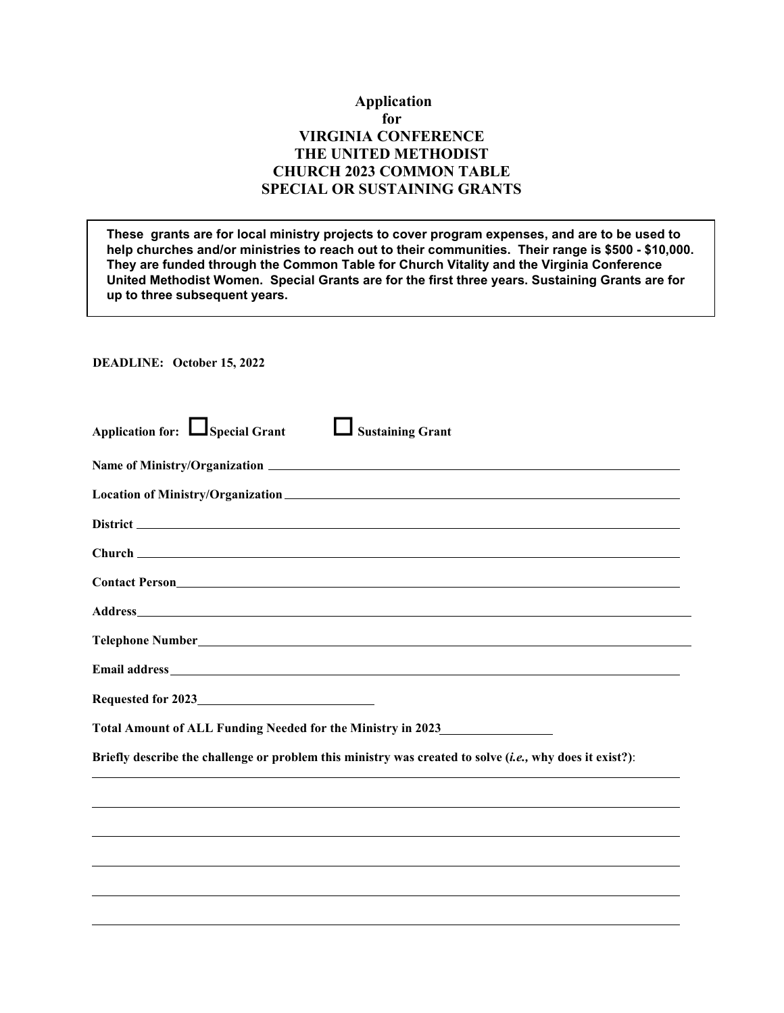## **Application for VIRGINIA CONFERENCE THE UNITED METHODIST CHURCH 2023 COMMON TABLE SPECIAL OR SUSTAINING GRANTS**

**These grants are for local ministry projects to cover program expenses, and are to be used to help churches and/or ministries to reach out to their communities. Their range is \$500 - \$10,000. They are funded through the Common Table for Church Vitality and the Virginia Conference United Methodist Women. Special Grants are for the first three years. Sustaining Grants are for up to three subsequent years.**

**DEADLINE: October 15, 2022**

| Application for: Special Grant<br><b>Sustaining Grant</b>                                                |
|----------------------------------------------------------------------------------------------------------|
|                                                                                                          |
|                                                                                                          |
|                                                                                                          |
|                                                                                                          |
| Contact Person<br><u>Contact Person</u>                                                                  |
|                                                                                                          |
|                                                                                                          |
|                                                                                                          |
|                                                                                                          |
| Total Amount of ALL Funding Needed for the Ministry in 2023_____________________                         |
| Briefly describe the challenge or problem this ministry was created to solve (i.e., why does it exist?): |
|                                                                                                          |
|                                                                                                          |
|                                                                                                          |
|                                                                                                          |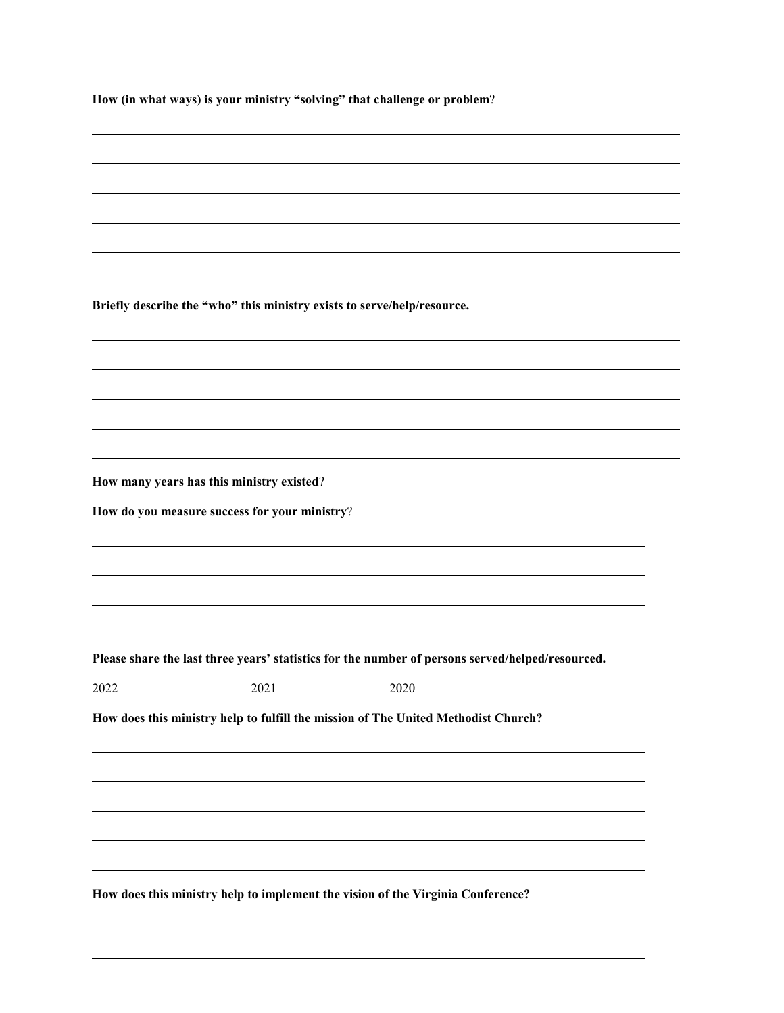**How (in what ways) is your ministry "solving" that challenge or problem**?

**Briefly describe the "who" this ministry exists to serve/help/resource. How many years has this ministry existed**? **How do you measure success for your ministry**? **Please share the last three years' statistics for the number of persons served/helped/resourced.** 2022 2021 2021 2020 **How does this ministry help to fulfill the mission of The United Methodist Church? How does this ministry help to implement the vision of the Virginia Conference?**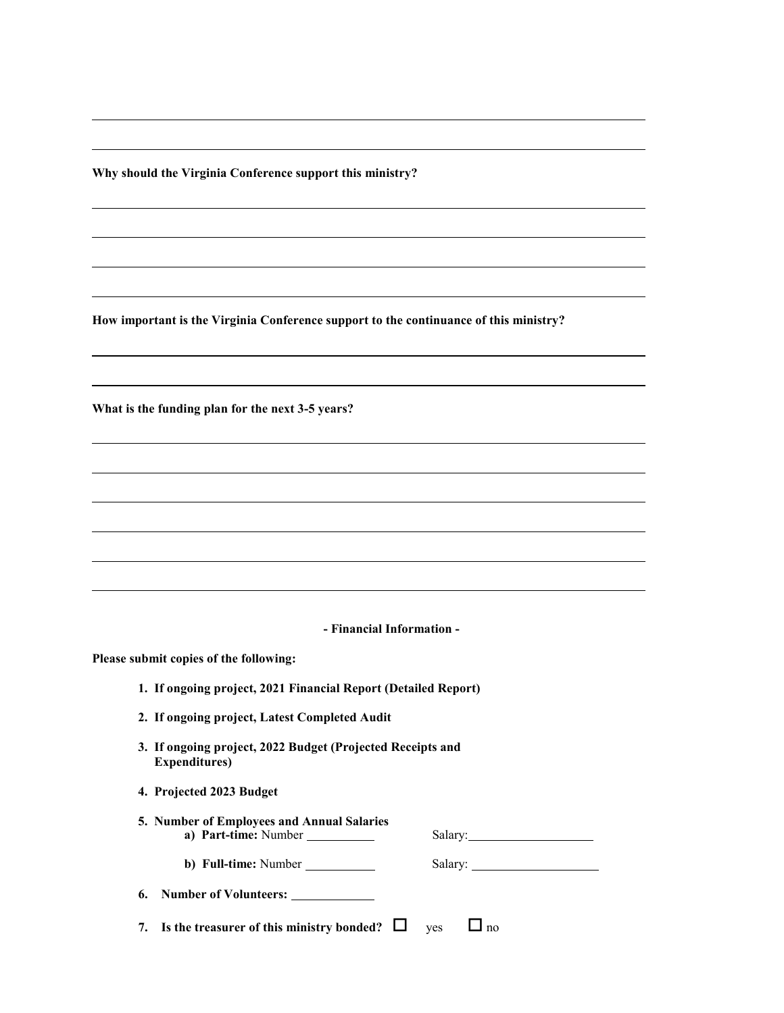**Why should the Virginia Conference support this ministry?**

**How important is the Virginia Conference support to the continuance of this ministry?**

**What is the funding plan for the next 3-5 years?**

**- Financial Information -**

**Please submit copies of the following:**

|  |  |  | 1. If ongoing project, 2021 Financial Report (Detailed Report) |  |
|--|--|--|----------------------------------------------------------------|--|
|--|--|--|----------------------------------------------------------------|--|

- **2. If ongoing project, Latest Completed Audit**
- **3. If ongoing project, 2022 Budget (Projected Receipts and Expenditures)**
- **4. Projected 2023 Budget**

| 5. Number of Employees and Annual Salaries |  |  |  |
|--------------------------------------------|--|--|--|
| Salarv:                                    |  |  |  |
|                                            |  |  |  |
| Salary:                                    |  |  |  |
|                                            |  |  |  |

| <b>6.</b> Number of Volunteers: |  |
|---------------------------------|--|
|                                 |  |

**7.** Is the treasurer of this ministry bonded?  $\Box$  yes  $\Box$  no